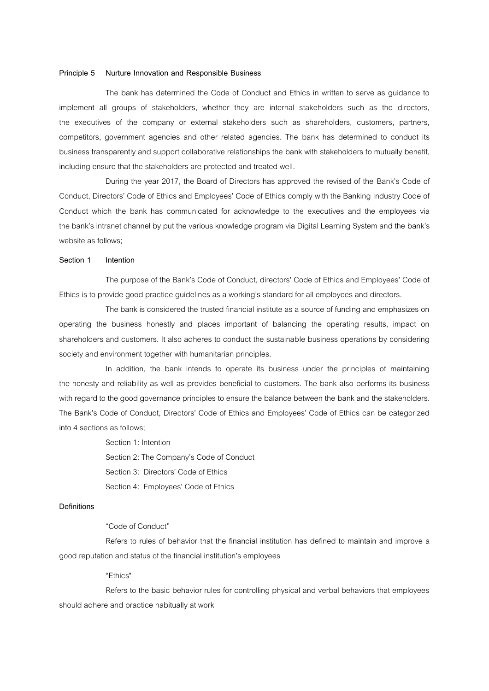#### **Principle 5 Nurture Innovation and Responsible Business**

The bank has determined the Code of Conduct and Ethics in written to serve as guidance to implement all groups of stakeholders, whether they are internal stakeholders such as the directors, the executives of the company or external stakeholders such as shareholders, customers, partners, competitors, government agencies and other related agencies. The bank has determined to conduct its business transparently and support collaborative relationships the bank with stakeholders to mutually benefit, including ensure that the stakeholders are protected and treated well.

During the year 2017, the Board of Directors has approved the revised of the Bank's Code of Conduct, Directors' Code of Ethics and Employees' Code of Ethics comply with the Banking Industry Code of Conduct which the bank has communicated for acknowledge to the executives and the employees via the bank's intranet channel by put the various knowledge program via Digital Learning System and the bank's website as follows;

#### **Section 1 Intention**

The purpose of the Bank's Code of Conduct, directors' Code of Ethics and Employees' Code of Ethics is to provide good practice guidelines as a working's standard for all employees and directors.

The bank is considered the trusted financial institute as a source of funding and emphasizes on operating the business honestly and places important of balancing the operating results, impact on shareholders and customers. It also adheres to conduct the sustainable business operations by considering society and environment together with humanitarian principles.

In addition, the bank intends to operate its business under the principles of maintaining the honesty and reliability as well as provides beneficial to customers. The bank also performs its business with regard to the good governance principles to ensure the balance between the bank and the stakeholders. The Bank's Code of Conduct, Directors' Code of Ethics and Employees' Code of Ethics can be categorized into 4 sections as follows;

> Section 1: Intention Section 2: The Company's Code of Conduct Section 3: Directors' Code of Ethics Section 4: Employees' Code of Ethics

### **Definitions**

# "Code of Conduct"

Refers to rules of behavior that the financial institution has defined to maintain and improve a good reputation and status of the financial institution's employees

"Ethics"

Refers to the basic behavior rules for controlling physical and verbal behaviors that employees should adhere and practice habitually at work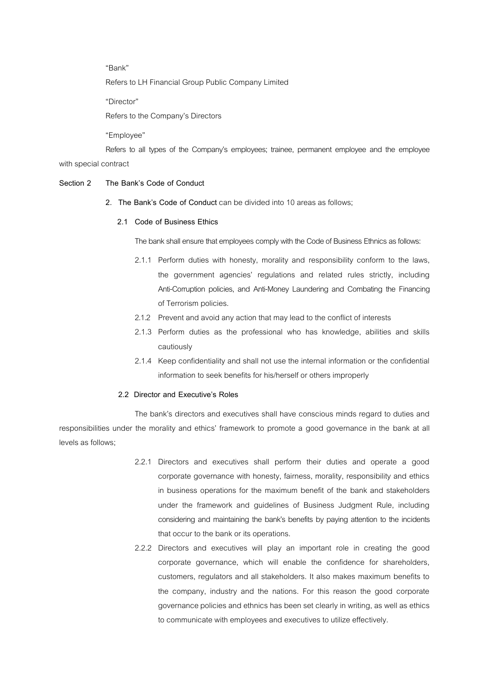"Bank"

Refers to LH Financial Group Public Company Limited

"Director"

Refers to the Company's Directors

"Employee"

Refers to all types of the Company's employees; trainee, permanent employee and the employee with special contract

### **Section 2 The Bank's Code of Conduct**

**2. The Bank's Code of Conduct**can be divided into 10 areas as follows;

### **2.1 Code of Business Ethics**

The bank shall ensure that employees comply with the Code of Business Ethnics as follows:

- 2.1.1 Perform duties with honesty, morality and responsibility conform to the laws, the government agencies' regulations and related rules strictly, including Anti-Corruption policies, and Anti-Money Laundering and Combating the Financing of Terrorism policies.
- 2.1.2 Prevent and avoid any action that may lead to the conflict of interests
- 2.1.3 Perform duties as the professional who has knowledge, abilities and skills cautiously
- 2.1.4 Keep confidentiality and shall not use the internal information or the confidential information to seek benefits for his/herself or others improperly

### **2.2 Director and Executive's Roles**

The bank's directors and executives shall have conscious minds regard to duties and responsibilities under the morality and ethics' framework to promote a good governance in the bank at all levels as follows;

- 2.2.1 Directors and executives shall perform their duties and operate a good corporate governance with honesty, fairness, morality, responsibility and ethics in business operations for the maximum benefit of the bank and stakeholders under the framework and guidelines of Business Judgment Rule, including considering and maintaining the bank's benefits by paying attention to the incidents that occur to the bank or its operations.
- 2.2.2 Directors and executives will play an important role in creating the good corporate governance, which will enable the confidence for shareholders, customers, regulators and all stakeholders. It also makes maximum benefits to the company, industry and the nations. For this reason the good corporate governance policies and ethnics has been set clearly in writing, as well as ethics to communicate with employees and executives to utilize effectively.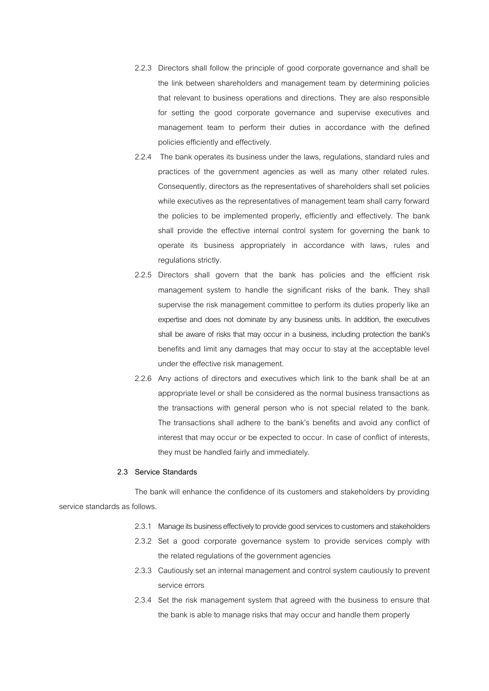2.2.3 Directors shall follow the principle of good corporate governance and shall be the link between shareholders and management team by determining policies that relevant to business operations and directions. They are also responsible for setting the good corporate governance and supervise executives and management team to perform their duties in accordance with the defined policies efficiently and effectively.

2.2.4 The bank operates its business under the laws, regulations, standard rules and practices of the government agencies as well as many other related rules. Consequently, directors as the representatives of shareholders shall set policies while executives as the representatives of management team shall carry forward the policies to be implemented properly, efficiently and effectively. The bank shall provide the effective internal control system for governing the bank to operate its business appropriately in accordance with laws, rules and regulations strictly.

- 2.2.5 Directors shall govern that the bank has policies and the efficient risk management system to handle the significant risks of the bank. They shall supervise the risk management committee to perform its duties properly like an expertise and does not dominate by any business units. In addition, the executives shall be aware of risks that may occur in a business, including protection the bank's benefits and limit any damages that may occur to stay at the acceptable level under the effective risk management.
- 2.2.6 Any actions of directors and executives which link to the bank shall be at an appropriate level or shall be considered as the normal business transactions as the transactions with general person who is not special related to the bank. The transactions shall adhere to the bank's benefits and avoid any conflict of interest that may occur or be expected to occur. In case of conflict of interests, they must be handled fairly and immediately.

### **2.3 Service Standards**

 The bank will enhance the confidence of its customers and stakeholders by providing service standards as follows.

- 2.3.1 Manage its business effectively to provide good services to customers and stakeholders
- 2.3.2 Set a good corporate governance system to provide services comply with the related regulations of the government agencies
- 2.3.3 Cautiously set an internal management and control system cautiously to prevent service errors
- 2.3.4 Set the risk management system that agreed with the business to ensure that the bank is able to manage risks that may occur and handle them properly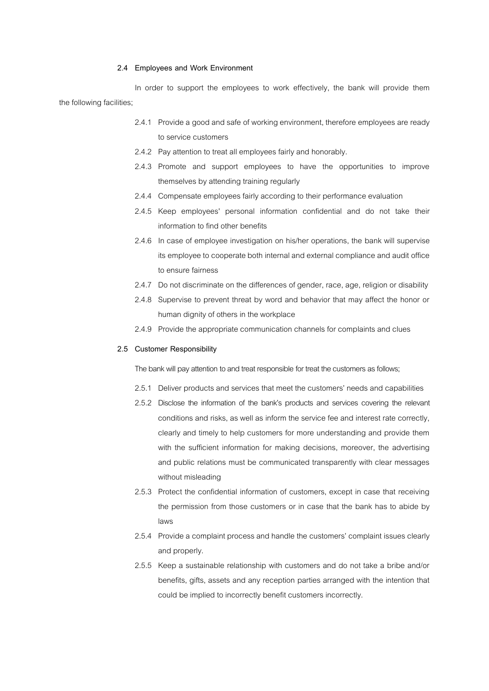### **2.4 Employees and Work Environment**

In order to support the employees to work effectively, the bank will provide them the following facilities;

- 2.4.1 Provide a good and safe of working environment, therefore employees are ready to service customers
- 2.4.2 Pay attention to treat all employees fairly and honorably.
- 2.4.3 Promote and support employees to have the opportunities to improve themselves by attending training regularly
- 2.4.4 Compensate employees fairly according to their performance evaluation
- 2.4.5 Keep employees' personal information confidential and do not take their information to find other benefits
- 2.4.6 In case of employee investigation on his/her operations, the bank will supervise its employee to cooperate both internal and external compliance and audit office to ensure fairness
- 2.4.7 Do not discriminate on the differences of gender, race, age, religion or disability
- 2.4.8 Supervise to prevent threat by word and behavior that may affect the honor or human dignity of others in the workplace
- 2.4.9 Provide the appropriate communication channels for complaints and clues

#### **2.5 Customer Responsibility**

The bank will pay attention to and treat responsible for treat the customers as follows;

- 2.5.1 Deliver products and services that meet the customers' needs and capabilities
- 2.5.2 Disclose the information of the bank's products and services covering the relevant conditions and risks, as well as inform the service fee and interest rate correctly, clearly and timely to help customers for more understanding and provide them with the sufficient information for making decisions, moreover, the advertising and public relations must be communicated transparently with clear messages without misleading
- 2.5.3 Protect the confidential information of customers, except in case that receiving the permission from those customers or in case that the bank has to abide by laws
- 2.5.4 Provide a complaint process and handle the customers' complaint issues clearly and properly.
- 2.5.5 Keep a sustainable relationship with customers and do not take a bribe and/or benefits, gifts, assets and any reception parties arranged with the intention that could be implied to incorrectly benefit customers incorrectly.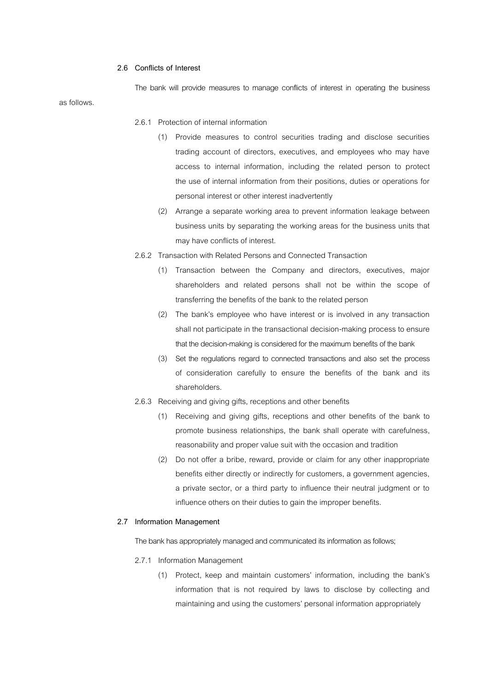### **2.6 Conflicts of Interest**

The bank will provide measures to manage conflicts of interest in operating the business as follows.

- 2.6.1 Protection of internal information
	- (1) Provide measures to control securities trading and disclose securities trading account of directors, executives, and employees who may have access to internal information, including the related person to protect the use of internal information from their positions, duties or operations for personal interest or other interest inadvertently
	- (2) Arrange a separate working area to prevent information leakage between business units by separating the working areas for the business units that may have conflicts of interest.
- 2.6.2 Transaction with Related Persons and Connected Transaction
	- (1) Transaction between the Company and directors, executives, major shareholders and related persons shall not be within the scope of transferring the benefits of the bank to the related person
	- (2) The bank's employee who have interest or is involved in any transaction shall not participate in the transactional decision-making process to ensure that the decision-making is considered for the maximum benefits of the bank
	- (3) Set the regulations regard to connected transactions and also set the process of consideration carefully to ensure the benefits of the bank and its shareholders.
- 2.6.3 Receiving and giving gifts, receptions and other benefits
	- (1) Receiving and giving gifts, receptions and other benefits of the bank to promote business relationships, the bank shall operate with carefulness, reasonability and proper value suit with the occasion and tradition
	- (2) Do not offer a bribe, reward, provide or claim for any other inappropriate benefits either directly or indirectly for customers, a government agencies, a private sector, or a third party to influence their neutral judgment or to influence others on their duties to gain the improper benefits.

#### **2.7 Information Management**

The bank has appropriately managed and communicated its information as follows;

- 2.7.1 Information Management
	- (1) Protect, keep and maintain customers' information, including the bank's information that is not required by laws to disclose by collecting and maintaining and using the customers' personal information appropriately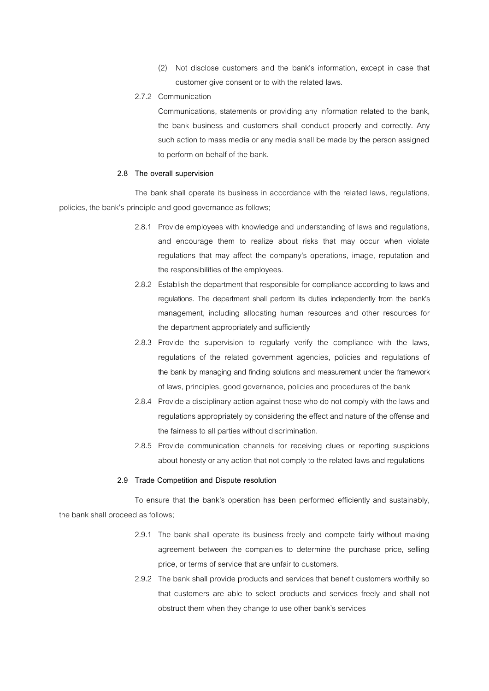- (2) Not disclose customers and the bank's information, except in case that customer give consent or to with the related laws.
- 2.7.2 Communication

Communications, statements or providing any information related to the bank, the bank business and customers shall conduct properly and correctly. Any such action to mass media or any media shall be made by the person assigned to perform on behalf of the bank.

### **2.8 The overall supervision**

The bank shall operate its business in accordance with the related laws, regulations, policies, the bank's principle and good governance as follows;

- 2.8.1 Provide employees with knowledge and understanding of laws and regulations, and encourage them to realize about risks that may occur when violate regulations that may affect the company's operations, image, reputation and the responsibilities of the employees.
- 2.8.2 Establish the department that responsible for compliance according to laws and regulations. The department shall perform its duties independently from the bank's management, including allocating human resources and other resources for the department appropriately and sufficiently
- 2.8.3 Provide the supervision to regularly verify the compliance with the laws, regulations of the related government agencies, policies and regulations of the bank by managing and finding solutions and measurement under the framework of laws, principles, good governance, policies and procedures of the bank
- 2.8.4 Provide a disciplinary action against those who do not comply with the laws and regulations appropriately by considering the effect and nature of the offense and the fairness to all parties without discrimination.
- 2.8.5 Provide communication channels for receiving clues or reporting suspicions about honesty or any action that not comply to the related laws and regulations

### **2.9 Trade Competition and Dispute resolution**

To ensure that the bank's operation has been performed efficiently and sustainably, the bank shall proceed as follows;

- 2.9.1 The bank shall operate its business freely and compete fairly without making agreement between the companies to determine the purchase price, selling price, or terms of service that are unfair to customers.
- 2.9.2 The bank shall provide products and services that benefit customers worthily so that customers are able to select products and services freely and shall not obstruct them when they change to use other bank's services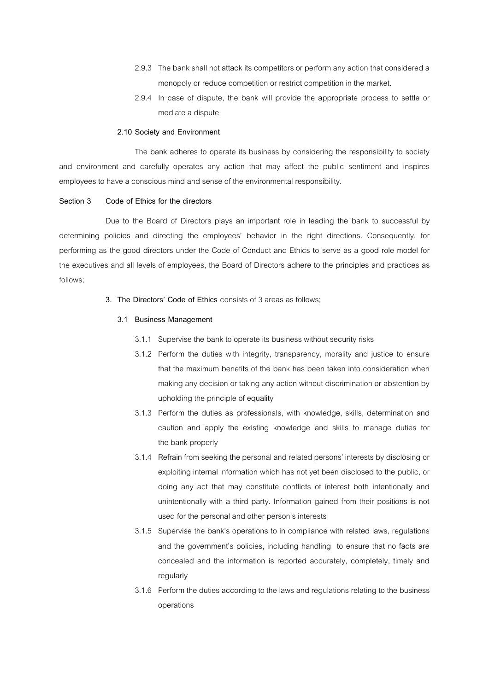- 2.9.3 The bank shall not attack its competitors or perform any action that considered a monopoly or reduce competition or restrict competition in the market.
- 2.9.4 In case of dispute, the bank will provide the appropriate process to settle or mediate a dispute

### **2.10 Society and Environment**

The bank adheres to operate its business by considering the responsibility to society and environment and carefully operates any action that may affect the public sentiment and inspires employees to have a conscious mind and sense of the environmental responsibility.

### **Section 3 Code of Ethics for the directors**

Due to the Board of Directors plays an important role in leading the bank to successful by determining policies and directing the employees' behavior in the right directions. Consequently, for performing as the good directors under the Code of Conduct and Ethics to serve as a good role model for the executives and all levels of employees, the Board of Directors adhere to the principles and practices as follows;

**3. The Directors' Code of Ethics** consists of 3 areas as follows;

### **3.1 Business Management**

- 3.1.1 Supervise the bank to operate its business without security risks
- 3.1.2 Perform the duties with integrity, transparency, morality and justice to ensure that the maximum benefits of the bank has been taken into consideration when making any decision or taking any action without discrimination or abstention by upholding the principle of equality
- 3.1.3 Perform the duties as professionals, with knowledge, skills, determination and caution and apply the existing knowledge and skills to manage duties for the bank properly
- 3.1.4 Refrain from seeking the personal and related persons' interests by disclosing or exploiting internal information which has not yet been disclosed to the public, or doing any act that may constitute conflicts of interest both intentionally and unintentionally with a third party. Information gained from their positions is not used for the personal and other person's interests
- 3.1.5 Supervise the bank's operations to in compliance with related laws, regulations and the government's policies, including handling to ensure that no facts are concealed and the information is reported accurately, completely, timely and regularly
- 3.1.6 Perform the duties according to the laws and regulations relating to the business operations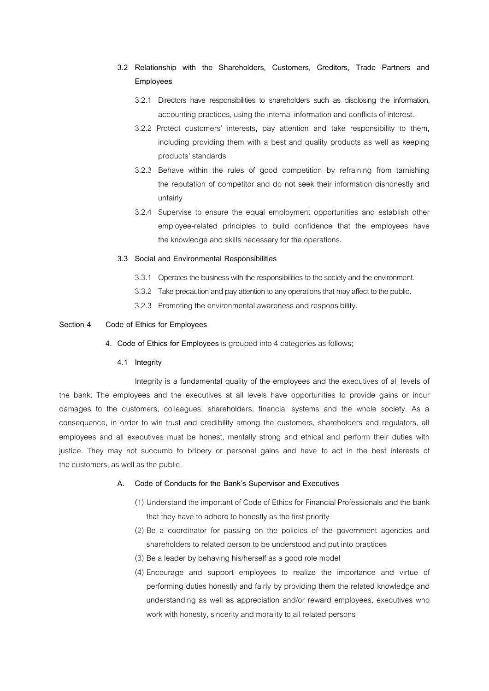- **3.2 Relationship with the Shareholders, Customers, Creditors, Trade Partners and Employees** 
	- 3.2.1 Directors have responsibilities to shareholders such as disclosing the information, accounting practices, using the internal information and conflicts of interest.
	- 3.2.2 Protect customers' interests, pay attention and take responsibility to them, including providing them with a best and quality products as well as keeping products' standards
	- 3.2.3 Behave within the rules of good competition by refraining from tarnishing the reputation of competitor and do not seek their information dishonestly and unfairly
	- 3.2.4 Supervise to ensure the equal employment opportunities and establish other employee-related principles to build confidence that the employees have the knowledge and skills necessary for the operations.

#### **3.3 Social and Environmental Responsibilities**

- 3.3.1 Operates the business with the responsibilities to the society and the environment.
- 3.3.2 Take precaution and pay attention to any operations that may affect to the public.
- 3.2.3 Promoting the environmental awareness and responsibility.

#### **Section 4 Code of Ethics for Employees**

**4. Code of Ethics for Employees** is grouped into 4 categories as follows;

### **4.1 Integrity**

Integrity is a fundamental quality of the employees and the executives of all levels of the bank. The employees and the executives at all levels have opportunities to provide gains or incur damages to the customers, colleagues, shareholders, financial systems and the whole society. As a consequence, in order to win trust and credibility among the customers, shareholders and regulators, all employees and all executives must be honest, mentally strong and ethical and perform their duties with justice. They may not succumb to bribery or personal gains and have to act in the best interests of the customers, as well as the public.

### **A. Code of Conducts for the Bank's Supervisor and Executives**

- (1) Understand the important of Code of Ethics for Financial Professionals and the bank that they have to adhere to honestly as the first priority
- (2) Be a coordinator for passing on the policies of the government agencies and shareholders to related person to be understood and put into practices
- (3) Be a leader by behaving his/herself as a good role model
- (4) Encourage and support employees to realize the importance and virtue of performing duties honestly and fairly by providing them the related knowledge and understanding as well as appreciation and/or reward employees, executives who work with honesty, sincerity and morality to all related persons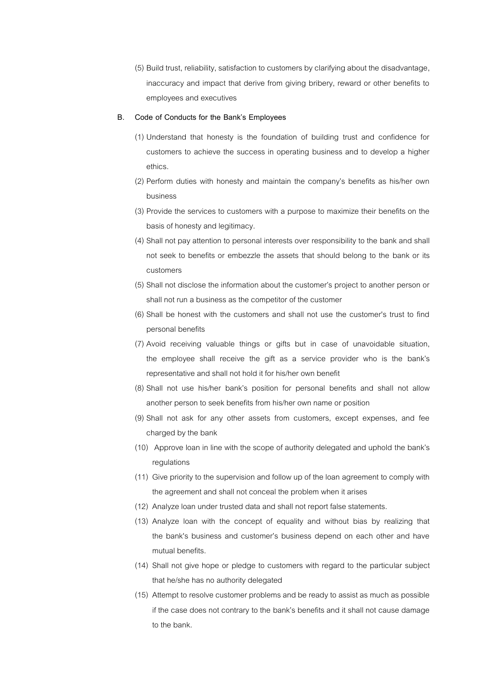(5) Build trust, reliability, satisfaction to customers by clarifying about the disadvantage, inaccuracy and impact that derive from giving bribery, reward or other benefits to employees and executives

#### **B. Code of Conducts for the Bank's Employees**

- (1) Understand that honesty is the foundation of building trust and confidence for customers to achieve the success in operating business and to develop a higher ethics.
- (2) Perform duties with honesty and maintain the company's benefits as his/her own business
- (3) Provide the services to customers with a purpose to maximize their benefits on the basis of honesty and legitimacy.
- (4) Shall not pay attention to personal interests over responsibility to the bank and shall not seek to benefits or embezzle the assets that should belong to the bank or its customers
- (5) Shall not disclose the information about the customer's project to another person or shall not run a business as the competitor of the customer
- (6) Shall be honest with the customers and shall not use the customer's trust to find personal benefits
- (7) Avoid receiving valuable things or gifts but in case of unavoidable situation, the employee shall receive the gift as a service provider who is the bank's representative and shall not hold it for his/her own benefit
- (8) Shall not use his/her bank's position for personal benefits and shall not allow another person to seek benefits from his/her own name or position
- (9) Shall not ask for any other assets from customers, except expenses, and fee charged by the bank
- (10) Approve loan in line with the scope of authority delegated and uphold the bank's regulations
- (11) Give priority to the supervision and follow up of the loan agreement to comply with the agreement and shall not conceal the problem when it arises
- (12) Analyze loan under trusted data and shall not report false statements.
- (13) Analyze loan with the concept of equality and without bias by realizing that the bank's business and customer's business depend on each other and have mutual benefits.
- (14) Shall not give hope or pledge to customers with regard to the particular subject that he/she has no authority delegated
- (15) Attempt to resolve customer problems and be ready to assist as much as possible if the case does not contrary to the bank's benefits and it shall not cause damage to the bank.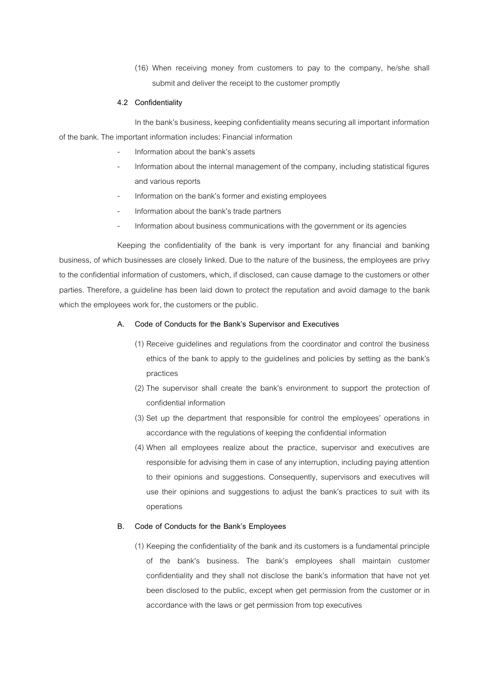(16) When receiving money from customers to pay to the company, he/she shall submit and deliver the receipt to the customer promptly

### **4.2 Confidentiality**

In the bank's business, keeping confidentiality means securing all important information of the bank. The important information includes: Financial information

- Information about the bank's assets
- Information about the internal management of the company, including statistical figures and various reports
- Information on the bank's former and existing employees
- Information about the bank's trade partners
- Information about business communications with the government or its agencies

Keeping the confidentiality of the bank is very important for any financial and banking business, of which businesses are closely linked. Due to the nature of the business, the employees are privy to the confidential information of customers, which, if disclosed, can cause damage to the customers or other parties. Therefore, a guideline has been laid down to protect the reputation and avoid damage to the bank which the employees work for, the customers or the public.

## **A. Code of Conducts for the Bank's Supervisor and Executives**

- (1) Receive guidelines and regulations from the coordinator and control the business ethics of the bank to apply to the guidelines and policies by setting as the bank's practices
- (2) The supervisor shall create the bank's environment to support the protection of confidential information
- (3) Set up the department that responsible for control the employees' operations in accordance with the regulations of keeping the confidential information
- (4) When all employees realize about the practice, supervisor and executives are responsible for advising them in case of any interruption, including paying attention to their opinions and suggestions. Consequently, supervisors and executives will use their opinions and suggestions to adjust the bank's practices to suit with its operations

# **B. Code of Conducts for the Bank's Employees**

(1) Keeping the confidentiality of the bank and its customers is a fundamental principle of the bank's business. The bank's employees shall maintain customer confidentiality and they shall not disclose the bank's information that have not yet been disclosed to the public, except when get permission from the customer or in accordance with the laws or get permission from top executives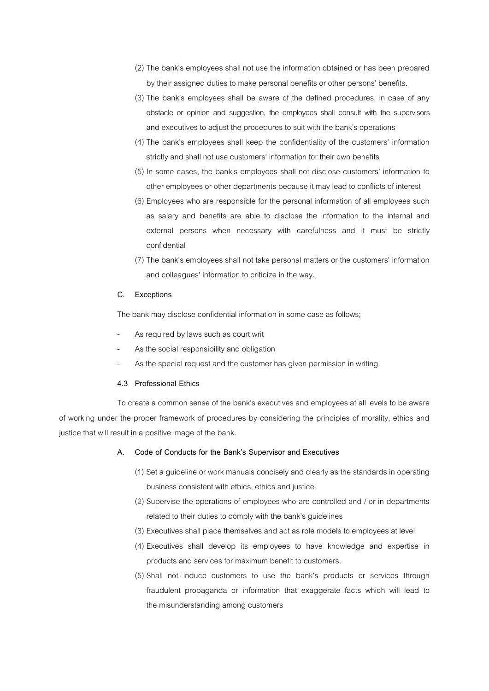- (2) The bank's employees shall not use the information obtained or has been prepared by their assigned duties to make personal benefits or other persons' benefits.
- (3) The bank's employees shall be aware of the defined procedures, in case of any obstacle or opinion and suggestion, the employees shall consult with the supervisors and executives to adjust the procedures to suit with the bank's operations
- (4) The bank's employees shall keep the confidentiality of the customers' information strictly and shall not use customers' information for their own benefits
- (5) In some cases, the bank's employees shall not disclose customers' information to other employees or other departments because it may lead to conflicts of interest
- (6) Employees who are responsible for the personal information of all employees such as salary and benefits are able to disclose the information to the internal and external persons when necessary with carefulness and it must be strictly confidential
- (7) The bank's employees shall not take personal matters or the customers' information and colleagues' information to criticize in the way.

#### **C. Exceptions**

The bank may disclose confidential information in some case as follows;

- As required by laws such as court writ
- As the social responsibility and obligation
- As the special request and the customer has given permission in writing

#### **4.3 Professional Ethics**

To create a common sense of the bank's executives and employees at all levels to be aware of working under the proper framework of procedures by considering the principles of morality, ethics and justice that will result in a positive image of the bank.

### **A. Code of Conducts for the Bank's Supervisor and Executives**

- (1) Set a guideline or work manuals concisely and clearly as the standards in operating business consistent with ethics, ethics and justice
- (2) Supervise the operations of employees who are controlled and / or in departments related to their duties to comply with the bank's guidelines
- (3) Executives shall place themselves and act as role models to employees at level
- (4) Executives shall develop its employees to have knowledge and expertise in products and services for maximum benefit to customers.
- (5) Shall not induce customers to use the bank's products or services through fraudulent propaganda or information that exaggerate facts which will lead to the misunderstanding among customers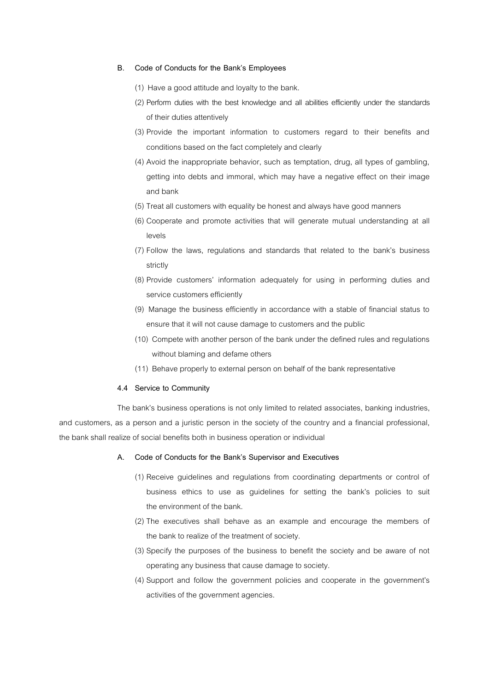### **B. Code of Conducts for the Bank's Employees**

- (1) Have a good attitude and loyalty to the bank.
- (2) Perform duties with the best knowledge and all abilities efficiently under the standards of their duties attentively
- (3) Provide the important information to customers regard to their benefits and conditions based on the fact completely and clearly
- (4) Avoid the inappropriate behavior, such as temptation, drug, all types of gambling, getting into debts and immoral, which may have a negative effect on their image and bank
- (5) Treat all customers with equality be honest and always have good manners
- (6) Cooperate and promote activities that will generate mutual understanding at all levels
- (7) Follow the laws, regulations and standards that related to the bank's business strictly
- (8) Provide customers' information adequately for using in performing duties and service customers efficiently
- (9) Manage the business efficiently in accordance with a stable of financial status to ensure that it will not cause damage to customers and the public
- (10) Compete with another person of the bank under the defined rules and regulations without blaming and defame others
- (11) Behave properly to external person on behalf of the bank representative

#### **4.4 Service to Community**

The bank's business operations is not only limited to related associates, banking industries, and customers, as a person and a juristic person in the society of the country and a financial professional, the bank shall realize of social benefits both in business operation or individual

### **A. Code of Conducts for the Bank's Supervisor and Executives**

- (1) Receive guidelines and regulations from coordinating departments or control of business ethics to use as guidelines for setting the bank's policies to suit the environment of the bank.
- (2) The executives shall behave as an example and encourage the members of the bank to realize of the treatment of society.
- (3) Specify the purposes of the business to benefit the society and be aware of not operating any business that cause damage to society.
- (4) Support and follow the government policies and cooperate in the government's activities of the government agencies.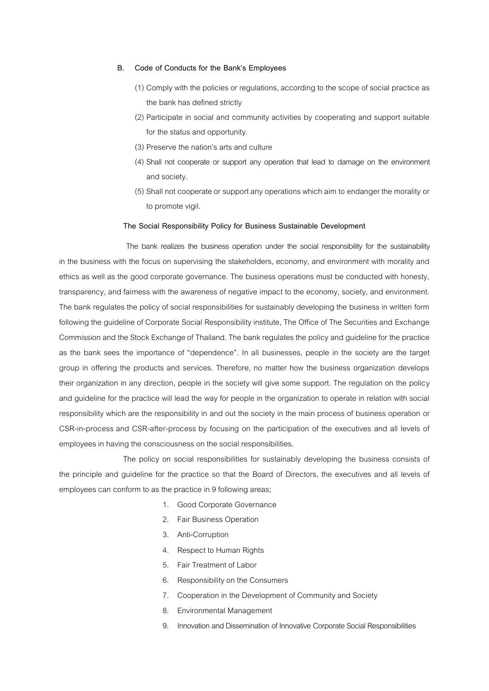### **B. Code of Conducts for the Bank's Employees**

- (1) Comply with the policies or regulations, according to the scope of social practice as the bank has defined strictly
- (2) Participate in social and community activities by cooperating and support suitable for the status and opportunity.
- (3) Preserve the nation's arts and culture
- (4) Shall not cooperate or support any operation that lead to damage on the environment and society.
- (5) Shall not cooperate or support any operations which aim to endanger the morality or to promote vigil.

#### **The Social Responsibility Policy for Business Sustainable Development**

 The bank realizes the business operation under the social responsibility for the sustainability in the business with the focus on supervising the stakeholders, economy, and environment with morality and ethics as well as the good corporate governance. The business operations must be conducted with honesty, transparency, and fairness with the awareness of negative impact to the economy, society, and environment. The bank regulates the policy of social responsibilities for sustainably developing the business in written form following the guideline of Corporate Social Responsibility institute, The Office of The Securities and Exchange Commission and the Stock Exchange of Thailand. The bank regulates the policy and guideline for the practice as the bank sees the importance of "dependence". In all businesses, people in the society are the target group in offering the products and services. Therefore, no matter how the business organization develops their organization in any direction, people in the society will give some support. The regulation on the policy and guideline for the practice will lead the way for people in the organization to operate in relation with social responsibility which are the responsibility in and out the society in the main process of business operation or CSR-in-process and CSR-after-process by focusing on the participation of the executives and all levels of employees in having the consciousness on the social responsibilities.

The policy on social responsibilities for sustainably developing the business consists of the principle and guideline for the practice so that the Board of Directors, the executives and all levels of employees can conform to as the practice in 9 following areas;

- 1. Good Corporate Governance
- 2. Fair Business Operation
- 3. Anti-Corruption
- 4. Respect to Human Rights
- 5. Fair Treatment of Labor
- 6. Responsibility on the Consumers
- 7. Cooperation in the Development of Community and Society
- 8. Environmental Management
- 9. Innovation and Dissemination of Innovative Corporate Social Responsibilities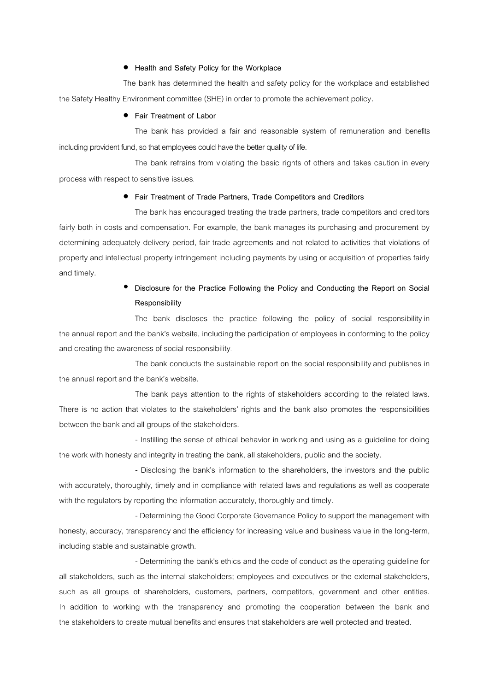### **Health and Safety Policy for the Workplace**

The bank has determined the health and safety policy for the workplace and established the Safety Healthy Environment committee (SHE) in order to promote the achievement policy**.**

### **Fair Treatment of Labor**

The bank has provided a fair and reasonable system of remuneration and benefits including provident fund, so that employees could have the better quality of life.

The bank refrains from violating the basic rights of others and takes caution in every process with respect to sensitive issues.

### **Fair Treatment of Trade Partners, Trade Competitors and Creditors**

The bank has encouraged treating the trade partners, trade competitors and creditors fairly both in costs and compensation. For example, the bank manages its purchasing and procurement by determining adequately delivery period, fair trade agreements and not related to activities that violations of property and intellectual property infringement including payments by using or acquisition of properties fairly and timely.

# **Disclosure for the Practice Following the Policy and Conducting the Report on Social Responsibility**

The bank discloses the practice following the policy of social responsibility in the annual report and the bank's website, including the participation of employees in conforming to the policy and creating the awareness of social responsibility.

The bank conducts the sustainable report on the social responsibility and publishes in the annual report and the bank's website.

The bank pays attention to the rights of stakeholders according to the related laws. There is no action that violates to the stakeholders' rights and the bank also promotes the responsibilities between the bank and all groups of the stakeholders.

- Instilling the sense of ethical behavior in working and using as a guideline for doing the work with honesty and integrity in treating the bank, all stakeholders, public and the society.

- Disclosing the bank's information to the shareholders, the investors and the public with accurately, thoroughly, timely and in compliance with related laws and regulations as well as cooperate with the regulators by reporting the information accurately, thoroughly and timely.

- Determining the Good Corporate Governance Policy to support the management with honesty, accuracy, transparency and the efficiency for increasing value and business value in the long-term, including stable and sustainable growth.

- Determining the bank's ethics and the code of conduct as the operating guideline for all stakeholders, such as the internal stakeholders; employees and executives or the external stakeholders, such as all groups of shareholders, customers, partners, competitors, government and other entities. In addition to working with the transparency and promoting the cooperation between the bank and the stakeholders to create mutual benefits and ensures that stakeholders are well protected and treated.